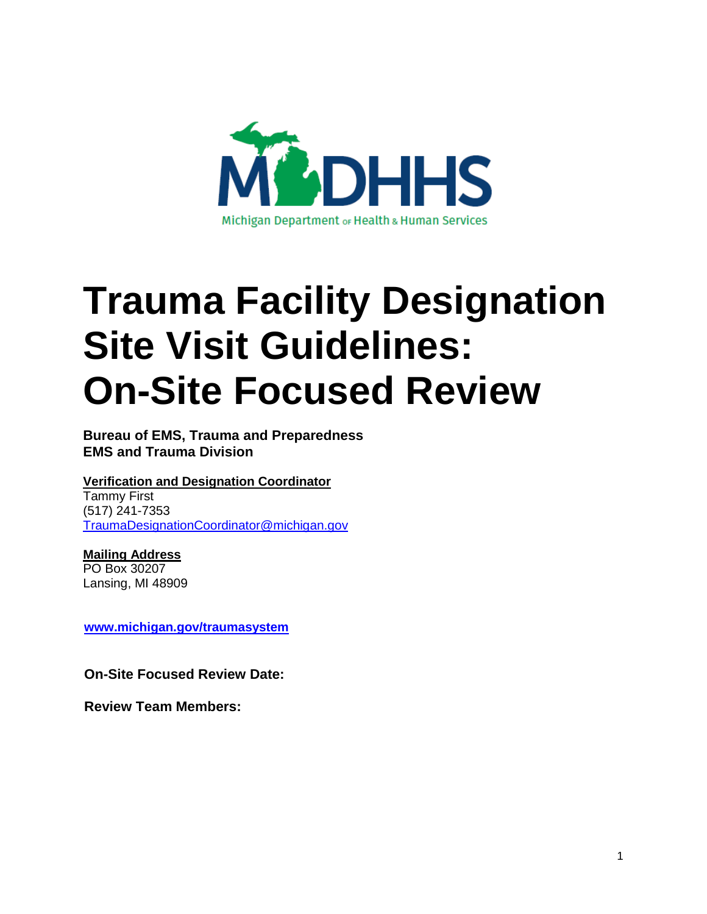

# **Trauma Facility Designation Site Visit Guidelines: On-Site Focused Review**

**Bureau of EMS, Trauma and Preparedness EMS and Trauma Division**

**Verification and Designation Coordinator**

Tammy First (517) 241-7353 [TraumaDesignationCoordinator@michigan.gov](mailto:TraumaDesignationCoordinator@michigan.gov)

**Mailing Address** PO Box 30207 Lansing, MI 48909

**[www.michigan.gov/traumasystem](http://www.michigan.gov/traumasystem)**

**On-Site Focused Review Date:**

**Review Team Members:**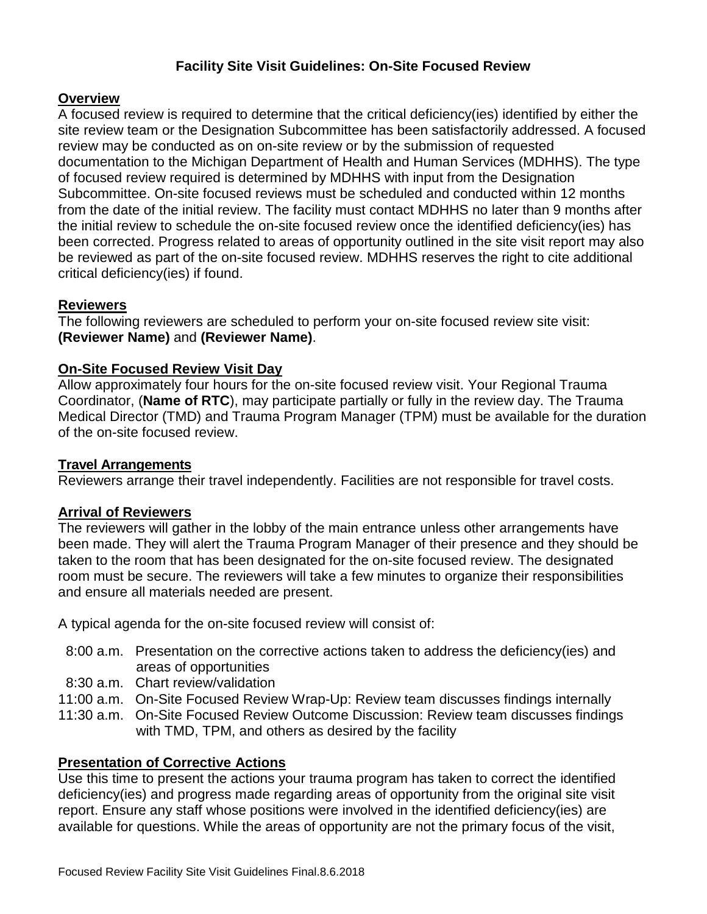## **Facility Site Visit Guidelines: On-Site Focused Review**

## **Overview**

A focused review is required to determine that the critical deficiency(ies) identified by either the site review team or the Designation Subcommittee has been satisfactorily addressed. A focused review may be conducted as on on-site review or by the submission of requested documentation to the Michigan Department of Health and Human Services (MDHHS). The type of focused review required is determined by MDHHS with input from the Designation Subcommittee. On-site focused reviews must be scheduled and conducted within 12 months from the date of the initial review. The facility must contact MDHHS no later than 9 months after the initial review to schedule the on-site focused review once the identified deficiency(ies) has been corrected. Progress related to areas of opportunity outlined in the site visit report may also be reviewed as part of the on-site focused review. MDHHS reserves the right to cite additional critical deficiency(ies) if found.

### **Reviewers**

The following reviewers are scheduled to perform your on-site focused review site visit: **(Reviewer Name)** and **(Reviewer Name)**.

#### **On-Site Focused Review Visit Day**

Allow approximately four hours for the on-site focused review visit. Your Regional Trauma Coordinator, (**Name of RTC**), may participate partially or fully in the review day. The Trauma Medical Director (TMD) and Trauma Program Manager (TPM) must be available for the duration of the on-site focused review.

#### **Travel Arrangements**

Reviewers arrange their travel independently. Facilities are not responsible for travel costs.

#### **Arrival of Reviewers**

The reviewers will gather in the lobby of the main entrance unless other arrangements have been made. They will alert the Trauma Program Manager of their presence and they should be taken to the room that has been designated for the on-site focused review. The designated room must be secure. The reviewers will take a few minutes to organize their responsibilities and ensure all materials needed are present.

A typical agenda for the on-site focused review will consist of:

- 8:00 a.m. Presentation on the corrective actions taken to address the deficiency(ies) and areas of opportunities
- 8:30 a.m. Chart review/validation
- 11:00 a.m. On-Site Focused Review Wrap-Up: Review team discusses findings internally
- 11:30 a.m. On-Site Focused Review Outcome Discussion: Review team discusses findings with TMD, TPM, and others as desired by the facility

#### **Presentation of Corrective Actions**

Use this time to present the actions your trauma program has taken to correct the identified deficiency(ies) and progress made regarding areas of opportunity from the original site visit report. Ensure any staff whose positions were involved in the identified deficiency(ies) are available for questions. While the areas of opportunity are not the primary focus of the visit,